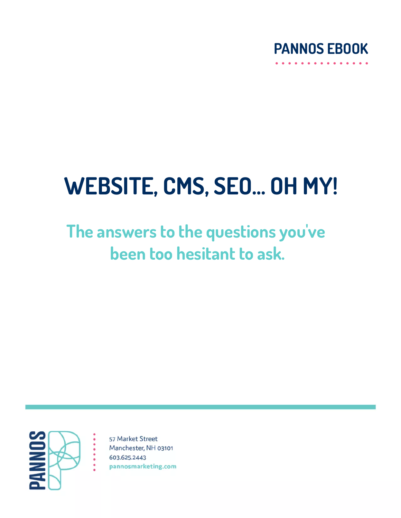

# **WEBSITE, CMS, SEO... OH MY!**

# **The answers to the questions you 've been too hesitant to ask.**



57 Market Street Manchester, NH 03101 603.625.2443 pannosmarketing.com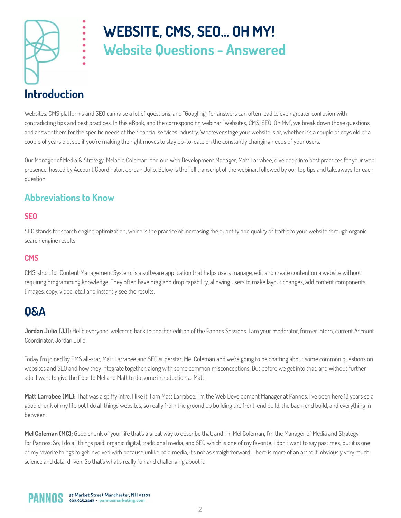

# **WEBSITE, CMS, SEO... OH MY! Website Questions - Answered**

## **Introduction**

Websites, CMS platforms and SEO can raise a lot of questions, and "Googling" for answers can often lead to even greater confusion with contradicting tips and best practices. In this eBook, and the corresponding webinar "Websites, CMS, SEO, Oh My!", we break down those questions and answer them for the specific needs of the financial services industry. Whatever stage your website is at, whether it's a couple of days old or a couple of years old, see if you're making the right moves to stay up-to-date on the constantly changing needs of your users.

Our Manager of Media & Strategy, Melanie Coleman, and our Web Development Manager, Matt Larrabee, dive deep into best practices for your web presence, hosted by Account Coordinator, Jordan Julio. Below is the full transcript of the webinar, followed by our top tips and takeaways for each question.

### **Abbreviations to Know**

### **SEO**

SEO stands for search engine optimization, which is the practice of increasing the quantity and quality of traffic to your website through organic search engine results.

#### **CMS**

CMS, short for Content Management System, is a software application that helps users manage, edit and create content on a website without requiring programming knowledge. They often have drag and drop capability, allowing users to make layout changes, add content components (images, copy, video, etc.) and instantly see the results.

### **Q&A**

**Jordan Julio (JJ):** Hello everyone, welcome back to another edition of the Pannos Sessions. I am your moderator, former intern, current Account Coordinator, Jordan Julio.

Today I'm joined by CMS all-star, Matt Larrabee and SEO superstar, Mel Coleman and we're going to be chatting about some common questions on websites and SEO and how they integrate together, along with some common misconceptions. But before we get into that, and without further ado, I want to give the floor to Mel and Matt to do some introductions... Matt.

**Matt Larrabee (ML):** That was a spiffy intro, I like it. I am Matt Larrabee, I'm the Web Development Manager at Pannos. I've been here 13 years so a good chunk of my life but I do all things websites, so really from the ground up building the front-end build, the back-end build, and everything in between.

**Mel Coleman (MC):** Good chunk of your life that's a great way to describe that, and I'm Mel Coleman, I'm the Manager of Media and Strategy for Pannos. So, I do all things paid, organic digital, traditional media, and SEO which is one of my favorite, I don't want to say pastimes, but it is one of my favorite things to get involved with because unlike paid media, it's not as straightforward. There is more of an art to it, obviously very much science and data-driven. So that's what's really fun and challenging about it.

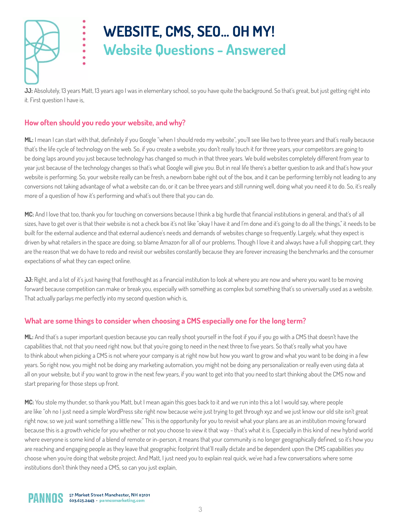

# **WEBSITE, CMS, SEO... OH MY! Website Questions - Answered**

**JJ:** Absolutely, 13 years Matt, 13 years ago I was in elementary school, so you have quite the background. So that's great, but just getting right into it. First question I have is,

### **How often should you redo your website, and why?**

.....

ML: I mean I can start with that, definitely if you Google "when I should redo my website", you'll see like two to three years and that's really because that's the life cycle of technology on the web. So, if you create a website, you don't really touch it for three years, your competitors are going to be doing laps around you just because technology has changed so much in that three years. We build websites completely different from year to year just because of the technology changes so that's what Google will give you. But in real life there's a better question to ask and that's how your website is performing. So, your website really can be fresh, a newborn babe right out of the box, and it can be performing terribly not leading to any conversions not taking advantage of what a website can do, or it can be three years and still running well, doing what you need it to do. So, it's really more of a question of how it's performing and what's out there that you can do.

MC: And I love that too, thank you for touching on conversions because I think a big hurdle that financial institutions in general, and that's of all sizes, have to get over is that their website is not a check box it's not like "okay I have it and I'm done and it's going to do all the things," it needs to be built for the external audience and that external audience's needs and demands of websites change so frequently. Largely, what they expect is driven by what retailers in the space are doing, so blame Amazon for all of our problems. Though I love it and always have a full shopping cart, they are the reason that we do have to redo and revisit our websites constantly because they are forever increasing the benchmarks and the consumer expectations of what they can expect online.

**JJ:** Right, and a lot of it's just having that forethought as a financial institution to look at where you are now and where you want to be moving forward because competition can make or break you, especially with something as complex but something that's so universally used as a website. That actually parlays me perfectly into my second question which is,

### **What are some things to consider when choosing a CMS especially one for the long term?**

**ML:** And that's a super important question because you can really shoot yourself in the foot if you if you go with a CMS that doesn't have the capabilities that, not that you need right now, but that you're going to need in the next three to five years. So that's really what you have to think about when picking a CMS is not where your company is at right now but how you want to grow and what you want to be doing in a few years. So right now, you might not be doing any marketing automation, you might not be doing any personalization or really even using data at all on your website, but if you want to grow in the next few years, if you want to get into that you need to start thinking about the CMS now and start preparing for those steps up front.

**MC:** You stole my thunder, so thank you Matt, but I mean again this goes back to it and we run into this a lot I would say, where people are like "oh no I just need a simple WordPress site right now because we're just trying to get through xyz and we just know our old site isn't great right now, so we just want something a little new." This is the opportunity for you to revisit what your plans are as an institution moving forward because this is a growth vehicle for you whether or not you choose to view it that way - that's what it is. Especially in this kind of new hybrid world where everyone is some kind of a blend of remote or in-person, it means that your community is no longer geographically defined, so it's how you are reaching and engaging people as they leave that geographic footprint that'll really dictate and be dependent upon the CMS capabilities you choose when you're doing that website project. And Matt, I just need you to explain real quick, we've had a few conversations where some institutions don't think they need a CMS, so can you just explain,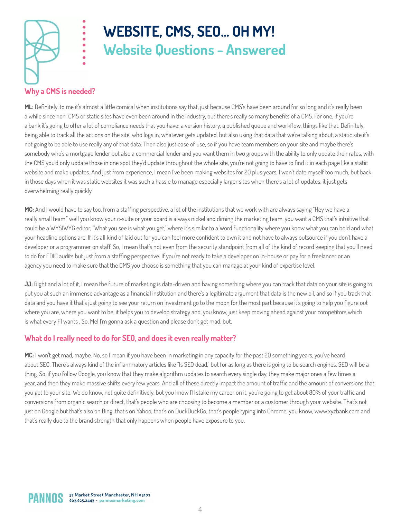

# **WEBSITE, CMS, SEO... OH MY! Website Questions - Answered**

### **Why a CMS is needed?**

ML: Definitely, to me it's almost a little comical when institutions say that, just because CMS's have been around for so long and it's really been a while since non-CMS or static sites have even been around in the industry, but there's really so many benefits of a CMS. For one, if you're a bank it's going to offer a lot of compliance needs that you have: a version history, a published queue and workflow, things like that. Definitely, being able to track all the actions on the site, who logs in, whatever gets updated, but also using that data that we're talking about, a static site it's not going to be able to use really any of that data. Then also just ease of use, so if you have team members on your site and maybe there's somebody who's a mortgage lender but also a commercial lender and you want them in two groups with the ability to only update their rates, with the CMS you'd only update those in one spot they'd update throughout the whole site, you're not going to have to find it in each page like a static website and make updates. And just from experience, I mean I've been making websites for 20 plus years, I won't date myself too much, but back in those days when it was static websites it was such a hassle to manage especially larger sites when there's a lot of updates, it just gets overwhelming really quickly.

MC: And I would have to say too, from a staffing perspective, a lot of the institutions that we work with are always saying "Hey we have a really small team," well you know your c-suite or your board is always nickel and diming the marketing team, you want a CMS that's intuitive that could be a WYSIWYG editor, "What you see is what you get," where it's similar to a Word functionality where you know what you can bold and what your headline options are. If it's all kind of laid out for you can feel more confident to own it and not have to always outsource if you don't have a developer or a programmer on staff. So, I mean that's not even from the security standpoint from all of the kind of record keeping that you'll need to do for FDIC audits but just from a staffing perspective. If you're not ready to take a developer on in-house or pay for a freelancer or an agency you need to make sure that the CMS you choose is something that you can manage at your kind of expertise level.

**JJ:** Right and a lot of it, I mean the future of marketing is data-driven and having something where you can track that data on your site is going to put you at such an immense advantage as a financial institution and there's a legitimate argument that data is the new oil, and so if you track that data and you have it that's just going to see your return on investment go to the moon for the most part because it's going to help you figure out where you are, where you want to be, it helps you to develop strategy and, you know, just keep moving ahead against your competitors which is what every FI wants . So, Mel I'm gonna ask a question and please don't get mad, but,

### **What do I really need to do for SEO, and does it even really matter?**

**MC:** I won't get mad, maybe. No, so I mean if you have been in marketing in any capacity for the past 20 something years, you've heard about SEO. There's always kind of the inflammatory articles like "Is SEO dead," but for as long as there is going to be search engines, SEO will be a thing. So, if you follow Google, you know that they make algorithm updates to search every single day, they make major ones a few times a year, and then they make massive shifts every few years. And all of these directly impact the amount of traffic and the amount of conversions that you get to your site. We do know, not quite definitively, but you know I'll stake my career on it, you're going to get about 80% of your traffic and conversions from organic search or direct, that's people who are choosing to become a member or a customer through your website. That's not just on Google but that's also on Bing, that's on Yahoo, that's on DuckDuckGo, that's people typing into Chrome, you know, www.xyzbank.com and that's really due to the brand strength that only happens when people have exposure to you.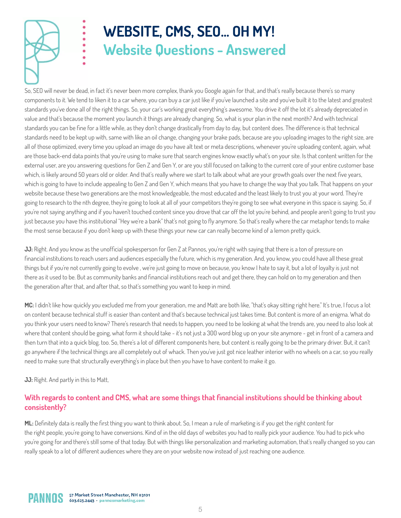

# **WEBSITE, CMS, SEO... OH MY! Website Questions - Answered**

So, SEO will never be dead, in fact it's never been more complex, thank you Google again for that, and that's really because there's so many components to it. We tend to liken it to a car where, you can buy a car just like if you've launched a site and you've built it to the latest and greatest standards you've done all of the right things. So, your car's working great everything's awesome. You drive it off the lot it's already depreciated in value and that's because the moment you launch it things are already changing. So, what is your plan in the next month? And with technical standards you can be fine for a little while, as they don't change drastically from day to day, but content does. The difference is that technical standards need to be kept up with, same with like an oil change, changing your brake pads, because are you uploading images to the right size, are all of those optimized, every time you upload an image do you have alt text or meta descriptions, whenever you're uploading content, again, what are those back-end data points that you're using to make sure that search engines know exactly what's on your site. Is that content written for the external user, are you answering questions for Gen Z and Gen Y, or are you still focused on talking to the current core of your entire customer base which, is likely around 50 years old or older. And that's really where we start to talk about what are your growth goals over the next five years, which is going to have to include appealing to Gen Z and Gen Y, which means that you have to change the way that you talk. That happens on your website because these two generations are the most knowledgeable, the most educated and the least likely to trust you at your word. They're going to research to the nth degree, they're going to look at all of your competitors they're going to see what everyone in this space is saying. So, if you're not saying anything and if you haven't touched content since you drove that car off the lot you're behind, and people aren't going to trust you just because you have this institutional "Hey we're a bank" that's not going to fly anymore. So that's really where the car metaphor tends to make the most sense because if you don't keep up with these things your new car can really become kind of a lemon pretty quick.

**JJ:** Right. And you know as the unofficial spokesperson for Gen Z at Pannos, you're right with saying that there is a ton of pressure on nancial institutions to reach users and audiences especially the future, which is my generation. And, you know, you could have all these great things but if you're not currently going to evolve , we're just going to move on because, you know I hate to say it, but a lot of loyalty is just not there as it used to be. But as community banks and financial institutions reach out and get there, they can hold on to my generation and then the generation after that, and after that, so that's something you want to keep in mind.

**MC:** I didn't like how quickly you excluded me from your generation, me and Matt are both like, "that's okay sitting right here." It's true, I focus a lot on content because technical stuff is easier than content and that's because technical just takes time. But content is more of an enigma. What do you think your users need to know? There's research that needs to happen, you need to be looking at what the trends are, you need to also look at where that content should be going, what form it should take - it's not just a 300 word blog up on your site anymore - get in front of a camera and then turn that into a quick blog, too. So, there's a lot of different components here, but content is really going to be the primary driver. But, it can't go anywhere if the technical things are all completely out of whack. Then you've just got nice leather interior with no wheels on a car, so you really need to make sure that structurally everything's in place but then you have to have content to make it go.

#### **JJ:** Right. And partly in this to Matt,

#### **With regards to content and CMS, what are some things that nancial institutions should be thinking about consistently?**

ML: Definitely data is really the first thing you want to think about. So, I mean a rule of marketing is if you get the right content for the right people, you're going to have conversions. Kind of in the old days of websites you had to really pick your audience. You had to pick who you're going for and there's still some of that today. But with things like personalization and marketing automation, that's really changed so you can really speak to a lot of different audiences where they are on your website now instead of just reaching one audience.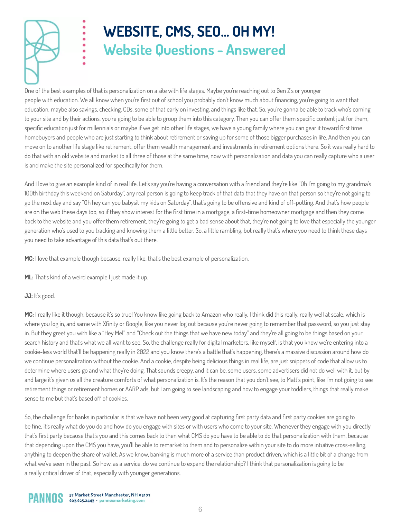

# **WEBSITE, CMS, SEO... OH MY! Website Questions - Answered**

One of the best examples of that is personalization on a site with life stages. Maybe you're reaching out to Gen Z's or younger people with education. We all know when you're first out of school you probably don't know much about financing, you're going to want that education, maybe also savings, checking, CDs, some of that early on investing, and things like that. So, you're gonna be able to track who's coming to your site and by their actions, you're going to be able to group them into this category. Then you can offer them specific content just for them, specific education just for millennials or maybe if we get into other life stages, we have a young family where you can gear it toward first time homebuyers and people who are just starting to think about retirement or saving up for some of those bigger purchases in life. And then you can move on to another life stage like retirement, offer them wealth management and investments in retirement options there. So it was really hard to do that with an old website and market to all three of those at the same time, now with personalization and data you can really capture who a user is and make the site personalized for specifically for them.

And I love to give an example kind of in real life. Let's say you're having a conversation with a friend and they're like "Oh I'm going to my grandma's 100th birthday this weekend on Saturday", any real person is going to keep track of that data that they have on that person so they're not going to go the next day and say "Oh hey can you babysit my kids on Saturday", that's going to be offensive and kind of off-putting. And that's how people are on the web these days too, so if they show interest for the first time in a mortgage, a first-time homeowner mortgage and then they come back to the website and you offer them retirement, they're going to get a bad sense about that, they're not going to love that especially the younger generation who's used to you tracking and knowing them a little better. So, a little rambling, but really that's where you need to think these days you need to take advantage of this data that's out there.

**MC:** I love that example though because, really like, that's the best example of personalization.

**ML:** That's kind of a weird example I just made it up.

#### **JJ:** It's good.

**MC:** I really like it though, because it's so true! You know like going back to Amazon who really, I think did this really, really well at scale, which is where you log in, and same with Xfinity or Google, like you never log out because you're never going to remember that password, so you just stay in. But they greet you with like a "Hey Mel" and "Check out the things that we have new today" and they're all going to be things based on your search history and that's what we all want to see. So, the challenge really for digital marketers, like myself, is that you know we're entering into a cookie-less world that'll be happening really in 2022 and you know there's a battle that's happening, there's a massive discussion around how do we continue personalization without the cookie. And a cookie, despite being delicious things in real life, are just snippets of code that allow us to determine where users go and what they're doing. That sounds creepy, and it can be, some users, some advertisers did not do well with it, but by and large it's given us all the creature comforts of what personalization is. It's the reason that you don't see, to Matt's point, like I'm not going to see retirement things or retirement homes or AARP ads, but I am going to see landscaping and how to engage your toddlers, things that really make sense to me but that's based off of cookies.

So, the challenge for banks in particular is that we have not been very good at capturing first party data and first party cookies are going to be fine, it's really what do you do and how do you engage with sites or with users who come to your site. Whenever they engage with you directly that's first party because that's you and this comes back to then what CMS do you have to be able to do that personalization with them, because that depending upon the CMS you have, you'll be able to remarket to them and to personalize within your site to do more intuitive cross-selling, anything to deepen the share of wallet. As we know, banking is much more of a service than product driven, which is a little bit of a change from what we've seen in the past. So how, as a service, do we continue to expand the relationship? I think that personalization is going to be a really critical driver of that, especially with younger generations.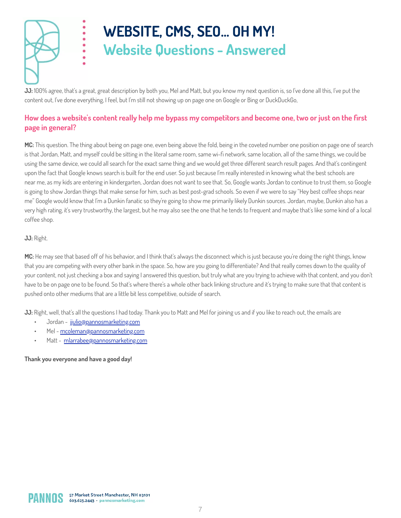

# **WEBSITE, CMS, SEO... OH MY! Website Questions - Answered**

**JJ:** 100% agree, that's a great, great description by both you, Mel and Matt, but you know my next question is, so I've done all this, I've put the content out, I've done everything, I feel, but I'm still not showing up on page one on Google or Bing or DuckDuckGo,

### How does a website's content really help me bypass my competitors and become one, two or just on the first **page in general?**

**MC:** This question. The thing about being on page one, even being above the fold, being in the coveted number one position on page one of search is that Jordan, Matt, and myself could be sitting in the literal same room, same wi-fi network, same location, all of the same things, we could be using the same device, we could all search for the exact same thing and we would get three different search result pages. And that's contingent upon the fact that Google knows search is built for the end user. So just because I'm really interested in knowing what the best schools are near me, as my kids are entering in kindergarten, Jordan does not want to see that. So, Google wants Jordan to continue to trust them, so Google is going to show Jordan things that make sense for him, such as best post-grad schools. So even if we were to say "Hey best coffee shops near me" Google would know that I'm a Dunkin fanatic so they're going to show me primarily likely Dunkin sources. Jordan, maybe, Dunkin also has a very high rating, it's very trustworthy, the largest, but he may also see the one that he tends to frequent and maybe that's like some kind of a local coffee shop.

#### **JJ:** Right.

**MC:** He may see that based off of his behavior, and I think that's always the disconnect which is just because you're doing the right things, know that you are competing with every other bank in the space. So, how are you going to differentiate? And that really comes down to the quality of your content, not just checking a box and saying I answered this question, but truly what are you trying to achieve with that content, and you don't have to be on page one to be found. So that's where there's a whole other back linking structure and it's trying to make sure that that content is pushed onto other mediums that are a little bit less competitive, outside of search.

**JJ:** Right, well, that's all the questions I had today. Thank you to Matt and Mel for joining us and if you like to reach out, the emails are

- Jordan [jjulio@pannosmarketing.com](mailto:jjulio@pannosmarketing.com)
- Mel [mcoleman@pannosmarketing.com](mailto:mcoleman@pannosmarketing.com)
- Matt [mlarrabee@pannosmarketing.com](mailto:mlarrabee@pannosmarketing.com)

#### **Thank you everyone and have a good day!**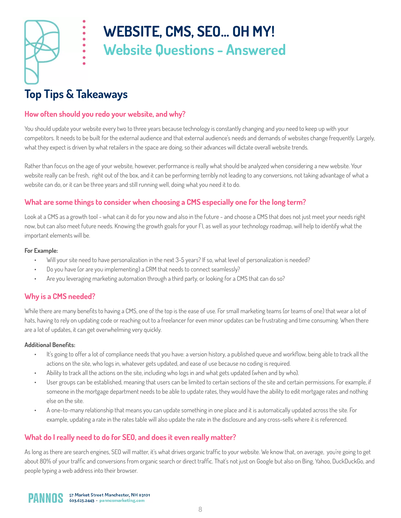

# **WEBSITE, CMS, SEO... OH MY! Website Questions - Answered**

### **Top Tips & Takeaways**

.....

#### **How often should you redo your website, and why?**

You should update your website every two to three years because technology is constantly changing and you need to keep up with your competitors. It needs to be built for the external audience and that external audience's needs and demands of websites change frequently. Largely, what they expect is driven by what retailers in the space are doing, so their advances will dictate overall website trends.

Rather than focus on the age of your website, however, performance is really what should be analyzed when considering a new website. Your website really can be fresh, right out of the box, and it can be performing terribly not leading to any conversions, not taking advantage of what a website can do, or it can be three years and still running well, doing what you need it to do.

#### **What are some things to consider when choosing a CMS especially one for the long term?**

Look at a CMS as a growth tool - what can it do for you now and also in the future - and choose a CMS that does not just meet your needs right now, but can also meet future needs. Knowing the growth goals for your FI, as well as your technology roadmap, will help to identify what the important elements will be.

#### **For Example:**

- Will your site need to have personalization in the next 3-5 years? If so, what level of personalization is needed?
- Do you have (or are you implementing) a CRM that needs to connect seamlessly?
- Are you leveraging marketing automation through a third party, or looking for a CMS that can do so?

#### **Why is a CMS needed?**

While there are many benefits to having a CMS, one of the top is the ease of use. For small marketing teams (or teams of one) that wear a lot of hats, having to rely on updating code or reaching out to a freelancer for even minor updates can be frustrating and time consuming. When there are a lot of updates, it can get overwhelming very quickly.

#### **Additional Benets:**

- It's going to offer a lot of compliance needs that you have: a version history, a published queue and workflow, being able to track all the actions on the site, who logs in, whatever gets updated, and ease of use because no coding is required.
- Ability to track all the actions on the site, including who logs in and what gets updated (when and by who).
- User groups can be established, meaning that users can be limited to certain sections of the site and certain permissions. For example, if someone in the mortgage department needs to be able to update rates, they would have the ability to edit mortgage rates and nothing else on the site.
- A one-to-many relationship that means you can update something in one place and it is automatically updated across the site. For example, updating a rate in the rates table will also update the rate in the disclosure and any cross-sells where it is referenced.

### **What do I really need to do for SEO, and does it even really matter?**

As long as there are search engines, SEO will matter, it's what drives organic traffic to your website. We know that, on average, you're going to get about 80% of your traffic and conversions from organic search or direct traffic. That's not just on Google but also on Bing, Yahoo, DuckDuckGo, and people typing a web address into their browser.

57 Market Street Manchester, NH 03101 603.625.2443 · pannosmarketing.com